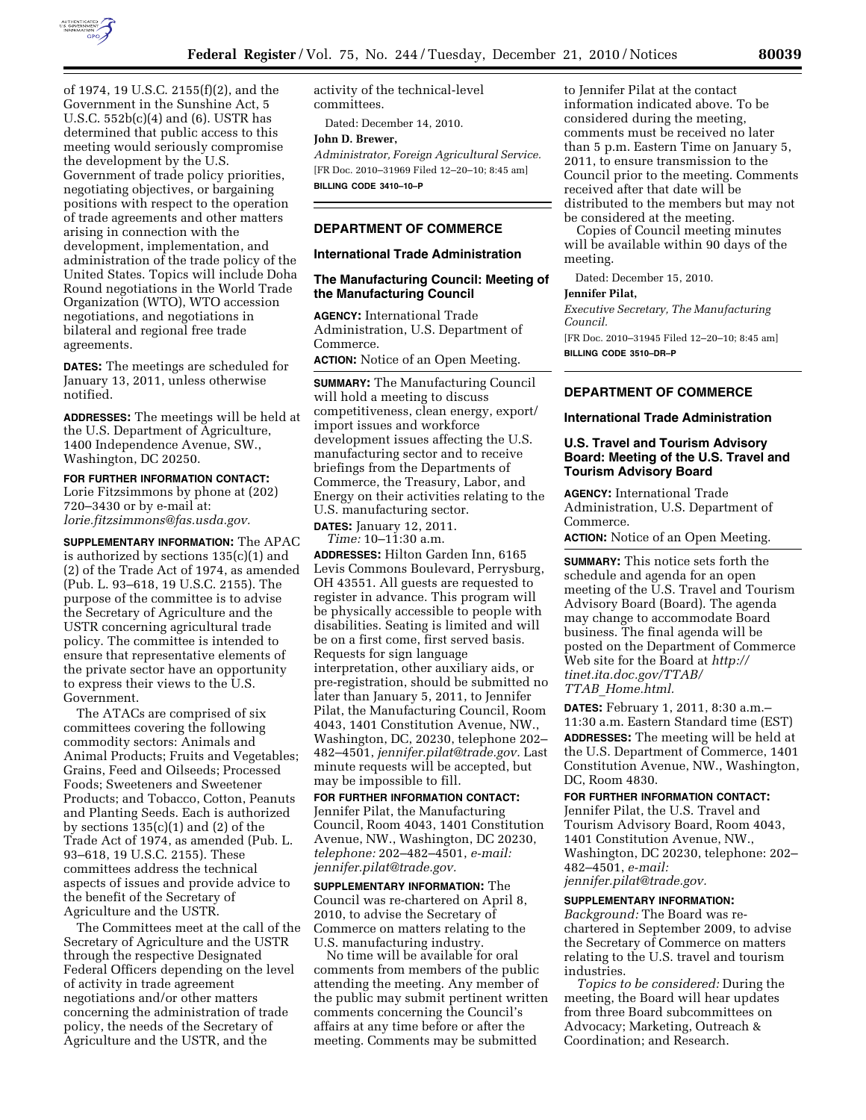

of 1974, 19 U.S.C. 2155(f)(2), and the Government in the Sunshine Act, 5 U.S.C. 552b(c)(4) and (6). USTR has determined that public access to this meeting would seriously compromise the development by the U.S. Government of trade policy priorities, negotiating objectives, or bargaining positions with respect to the operation of trade agreements and other matters arising in connection with the development, implementation, and administration of the trade policy of the United States. Topics will include Doha Round negotiations in the World Trade Organization (WTO), WTO accession negotiations, and negotiations in bilateral and regional free trade agreements.

**DATES:** The meetings are scheduled for January 13, 2011, unless otherwise notified.

**ADDRESSES:** The meetings will be held at the U.S. Department of Agriculture, 1400 Independence Avenue, SW., Washington, DC 20250.

**FOR FURTHER INFORMATION CONTACT:**  Lorie Fitzsimmons by phone at (202) 720–3430 or by e-mail at: *[lorie.fitzsimmons@fas.usda.gov.](mailto:lorie.fitzsimmons@fas.usda.gov)* 

**SUPPLEMENTARY INFORMATION:** The APAC is authorized by sections 135(c)(1) and (2) of the Trade Act of 1974, as amended (Pub. L. 93–618, 19 U.S.C. 2155). The purpose of the committee is to advise the Secretary of Agriculture and the USTR concerning agricultural trade policy. The committee is intended to ensure that representative elements of the private sector have an opportunity to express their views to the U.S. Government.

The ATACs are comprised of six committees covering the following commodity sectors: Animals and Animal Products; Fruits and Vegetables; Grains, Feed and Oilseeds; Processed Foods; Sweeteners and Sweetener Products; and Tobacco, Cotton, Peanuts and Planting Seeds. Each is authorized by sections 135(c)(1) and (2) of the Trade Act of 1974, as amended (Pub. L. 93–618, 19 U.S.C. 2155). These committees address the technical aspects of issues and provide advice to the benefit of the Secretary of Agriculture and the USTR.

The Committees meet at the call of the Secretary of Agriculture and the USTR through the respective Designated Federal Officers depending on the level of activity in trade agreement negotiations and/or other matters concerning the administration of trade policy, the needs of the Secretary of Agriculture and the USTR, and the

activity of the technical-level committees.

Dated: December 14, 2010.

**John D. Brewer,** 

*Administrator, Foreign Agricultural Service.*  [FR Doc. 2010–31969 Filed 12–20–10; 8:45 am] **BILLING CODE 3410–10–P** 

# **DEPARTMENT OF COMMERCE**

### **International Trade Administration**

### **The Manufacturing Council: Meeting of the Manufacturing Council**

**AGENCY:** International Trade Administration, U.S. Department of Commerce.

**ACTION:** Notice of an Open Meeting.

**SUMMARY:** The Manufacturing Council will hold a meeting to discuss competitiveness, clean energy, export/ import issues and workforce development issues affecting the U.S. manufacturing sector and to receive briefings from the Departments of Commerce, the Treasury, Labor, and Energy on their activities relating to the U.S. manufacturing sector.

**DATES:** January 12, 2011. *Time:* 10–11:30 a.m.

**ADDRESSES:** Hilton Garden Inn, 6165 Levis Commons Boulevard, Perrysburg, OH 43551. All guests are requested to register in advance. This program will be physically accessible to people with disabilities. Seating is limited and will be on a first come, first served basis. Requests for sign language interpretation, other auxiliary aids, or pre-registration, should be submitted no later than January 5, 2011, to Jennifer Pilat, the Manufacturing Council, Room 4043, 1401 Constitution Avenue, NW., Washington, DC, 20230, telephone 202– 482–4501, *[jennifer.pilat@trade.gov.](mailto:jennifer.pilat@trade.gov)* Last minute requests will be accepted, but may be impossible to fill.

**FOR FURTHER INFORMATION CONTACT:**  Jennifer Pilat, the Manufacturing Council, Room 4043, 1401 Constitution Avenue, NW., Washington, DC 20230, *telephone:* 202–482–4501, *e-mail: [jennifer.pilat@trade.gov.](mailto:jennifer.pilat@trade.gov)* 

**SUPPLEMENTARY INFORMATION:** The Council was re-chartered on April 8, 2010, to advise the Secretary of Commerce on matters relating to the U.S. manufacturing industry.

No time will be available for oral comments from members of the public attending the meeting. Any member of the public may submit pertinent written comments concerning the Council's affairs at any time before or after the meeting. Comments may be submitted

to Jennifer Pilat at the contact information indicated above. To be considered during the meeting, comments must be received no later than 5 p.m. Eastern Time on January 5, 2011, to ensure transmission to the Council prior to the meeting. Comments received after that date will be distributed to the members but may not be considered at the meeting.

Copies of Council meeting minutes will be available within 90 days of the meeting.

Dated: December 15, 2010.

#### **Jennifer Pilat,**

*Executive Secretary, The Manufacturing Council.* 

[FR Doc. 2010–31945 Filed 12–20–10; 8:45 am] **BILLING CODE 3510–DR–P** 

# **DEPARTMENT OF COMMERCE**

**International Trade Administration** 

## **U.S. Travel and Tourism Advisory Board: Meeting of the U.S. Travel and Tourism Advisory Board**

**AGENCY:** International Trade Administration, U.S. Department of Commerce. **ACTION:** Notice of an Open Meeting.

**SUMMARY:** This notice sets forth the

schedule and agenda for an open meeting of the U.S. Travel and Tourism Advisory Board (Board). The agenda may change to accommodate Board business. The final agenda will be posted on the Department of Commerce Web site for the Board at *[http://](http://tinet.ita.doc.gov/TTAB/TTAB_Home.html)  [tinet.ita.doc.gov/TTAB/](http://tinet.ita.doc.gov/TTAB/TTAB_Home.html) TTAB*\_*[Home.html.](http://tinet.ita.doc.gov/TTAB/TTAB_Home.html)* 

**DATES:** February 1, 2011, 8:30 a.m.– 11:30 a.m. Eastern Standard time (EST) **ADDRESSES:** The meeting will be held at the U.S. Department of Commerce, 1401 Constitution Avenue, NW., Washington, DC, Room 4830.

**FOR FURTHER INFORMATION CONTACT:**  Jennifer Pilat, the U.S. Travel and Tourism Advisory Board, Room 4043, 1401 Constitution Avenue, NW., Washington, DC 20230, telephone: 202– 482–4501, *e-mail: [jennifer.pilat@trade.gov.](mailto:jennifer.pilat@trade.gov)* 

#### **SUPPLEMENTARY INFORMATION:**

*Background:* The Board was rechartered in September 2009, to advise the Secretary of Commerce on matters relating to the U.S. travel and tourism industries.

*Topics to be considered:* During the meeting, the Board will hear updates from three Board subcommittees on Advocacy; Marketing, Outreach & Coordination; and Research.